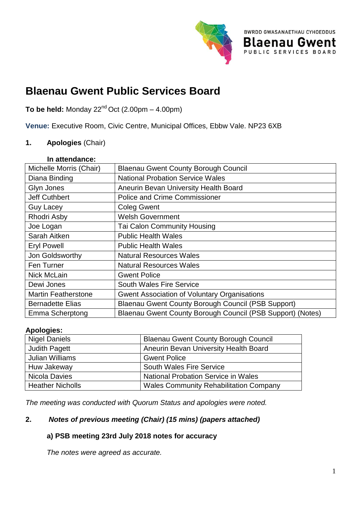

В

**BWRDD GWASANAETHAU CYHOEDDUS** 

PUBLIC SERVICES BOARD

aenau Gwent.

**To be held:** Monday 22 $^{\text{nd}}$  Oct (2.00pm – 4.00pm)

**Venue:** Executive Room, Civic Centre, Municipal Offices, Ebbw Vale. NP23 6XB

### **1. Apologies** (Chair)

| In attendance:             |                                                            |
|----------------------------|------------------------------------------------------------|
| Michelle Morris (Chair)    | <b>Blaenau Gwent County Borough Council</b>                |
| Diana Binding              | <b>National Probation Service Wales</b>                    |
| Glyn Jones                 | Aneurin Bevan University Health Board                      |
| <b>Jeff Cuthbert</b>       | <b>Police and Crime Commissioner</b>                       |
| <b>Guy Lacey</b>           | <b>Coleg Gwent</b>                                         |
| Rhodri Asby                | <b>Welsh Government</b>                                    |
| Joe Logan                  | <b>Tai Calon Community Housing</b>                         |
| Sarah Aitken               | <b>Public Health Wales</b>                                 |
| <b>Eryl Powell</b>         | <b>Public Health Wales</b>                                 |
| Jon Goldsworthy            | <b>Natural Resources Wales</b>                             |
| Fen Turner                 | <b>Natural Resources Wales</b>                             |
| Nick McLain                | <b>Gwent Police</b>                                        |
| Dewi Jones                 | <b>South Wales Fire Service</b>                            |
| <b>Martin Featherstone</b> | <b>Gwent Association of Voluntary Organisations</b>        |
| <b>Bernadette Elias</b>    | Blaenau Gwent County Borough Council (PSB Support)         |
| <b>Emma Scherptong</b>     | Blaenau Gwent County Borough Council (PSB Support) (Notes) |

#### **Apologies:**

| <b>Nigel Daniels</b>    | <b>Blaenau Gwent County Borough Council</b>   |
|-------------------------|-----------------------------------------------|
| <b>Judith Pagett</b>    | Aneurin Bevan University Health Board         |
| <b>Julian Williams</b>  | <b>Gwent Police</b>                           |
| Huw Jakeway             | <b>South Wales Fire Service</b>               |
| Nicola Davies           | <b>National Probation Service in Wales</b>    |
| <b>Heather Nicholls</b> | <b>Wales Community Rehabilitation Company</b> |

*The meeting was conducted with Quorum Status and apologies were noted.*

# **2.** *Notes of previous meeting (Chair) (15 mins) (papers attached)*

# **a) PSB meeting 23rd July 2018 notes for accuracy**

*The notes were agreed as accurate.*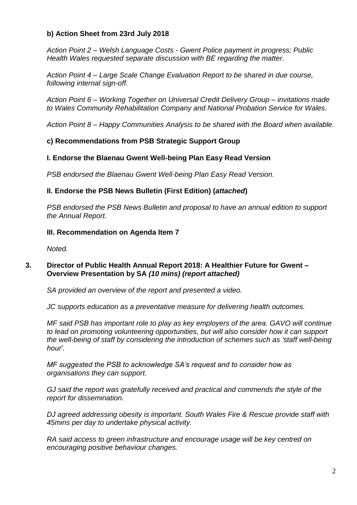# **b) Action Sheet from 23rd July 2018**

*Action Point 2 – Welsh Language Costs - Gwent Police payment in progress; Public Health Wales requested separate discussion with BE regarding the matter.*

*Action Point 4 – Large Scale Change Evaluation Report to be shared in due course, following internal sign-off.*

*Action Point 6 – Working Together on Universal Credit Delivery Group – invitations made to Wales Community Rehabilitation Company and National Probation Service for Wales.*

*Action Point 8 – Happy Communities Analysis to be shared with the Board when available.*

# **c) Recommendations from PSB Strategic Support Group**

# **I. Endorse the Blaenau Gwent Well-being Plan Easy Read Version**

*PSB endorsed the Blaenau Gwent Well-being Plan Easy Read Version.*

# **II. Endorse the PSB News Bulletin (First Edition) (***attached***)**

*PSB endorsed the PSB News Bulletin and proposal to have an annual edition to support the Annual Report.*

### **III. Recommendation on Agenda Item 7**

*Noted.*

### **3. Director of Public Health Annual Report 2018: A Healthier Future for Gwent – Overview Presentation by SA** *(10 mins) (report attached)*

*SA provided an overview of the report and presented a video.*

*JC supports education as a preventative measure for delivering health outcomes.*

*MF said PSB has important role to play as key employers of the area. GAVO will continue to lead on promoting volunteering opportunities, but will also consider how it can support the well-being of staff by considering the introduction of schemes such as 'staff well-being hour'.*

*MF suggested the PSB to acknowledge SA's request and to consider how as organisations they can support.*

*GJ said the report was gratefully received and practical and commends the style of the report for dissemination.*

*DJ agreed addressing obesity is important. South Wales Fire & Rescue provide staff with 45mins per day to undertake physical activity.*

*RA said access to green infrastructure and encourage usage will be key centred on encouraging positive behaviour changes.*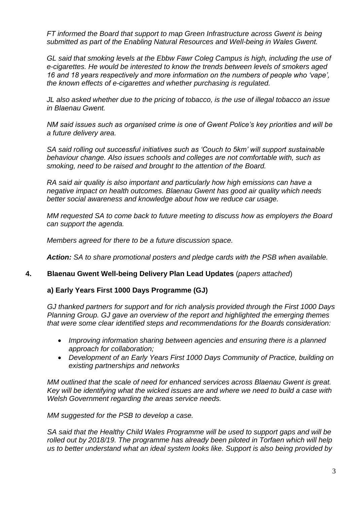*FT informed the Board that support to map Green Infrastructure across Gwent is being submitted as part of the Enabling Natural Resources and Well-being in Wales Gwent.*

*GL said that smoking levels at the Ebbw Fawr Coleg Campus is high, including the use of e-cigarettes. He would be interested to know the trends between levels of smokers aged 16 and 18 years respectively and more information on the numbers of people who 'vape', the known effects of e-cigarettes and whether purchasing is regulated.*

*JL also asked whether due to the pricing of tobacco, is the use of illegal tobacco an issue in Blaenau Gwent.*

*NM said issues such as organised crime is one of Gwent Police's key priorities and will be a future delivery area.*

*SA said rolling out successful initiatives such as 'Couch to 5km' will support sustainable behaviour change. Also issues schools and colleges are not comfortable with, such as smoking, need to be raised and brought to the attention of the Board.*

*RA said air quality is also important and particularly how high emissions can have a negative impact on health outcomes. Blaenau Gwent has good air quality which needs better social awareness and knowledge about how we reduce car usage.*

*MM requested SA to come back to future meeting to discuss how as employers the Board can support the agenda.*

*Members agreed for there to be a future discussion space.*

*Action: SA to share promotional posters and pledge cards with the PSB when available.*

#### **4. Blaenau Gwent Well-being Delivery Plan Lead Updates** (*papers attached*)

#### **a) Early Years First 1000 Days Programme (GJ)**

*GJ thanked partners for support and for rich analysis provided through the First 1000 Days Planning Group. GJ gave an overview of the report and highlighted the emerging themes that were some clear identified steps and recommendations for the Boards consideration:*

- *Improving information sharing between agencies and ensuring there is a planned approach for collaboration;*
- *Development of an Early Years First 1000 Days Community of Practice, building on existing partnerships and networks*

*MM outlined that the scale of need for enhanced services across Blaenau Gwent is great. Key will be identifying what the wicked issues are and where we need to build a case with Welsh Government regarding the areas service needs.*

*MM suggested for the PSB to develop a case.*

*SA said that the Healthy Child Wales Programme will be used to support gaps and will be rolled out by 2018/19. The programme has already been piloted in Torfaen which will help us to better understand what an ideal system looks like. Support is also being provided by*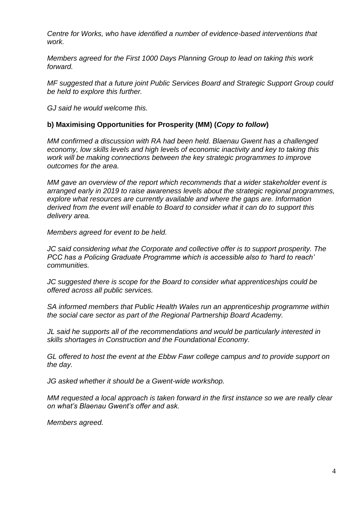*Centre for Works, who have identified a number of evidence-based interventions that work.*

*Members agreed for the First 1000 Days Planning Group to lead on taking this work forward.*

*MF suggested that a future joint Public Services Board and Strategic Support Group could be held to explore this further.*

*GJ said he would welcome this.*

### **b) Maximising Opportunities for Prosperity (MM) (***Copy to follow***)**

*MM confirmed a discussion with RA had been held. Blaenau Gwent has a challenged economy, low skills levels and high levels of economic inactivity and key to taking this work will be making connections between the key strategic programmes to improve outcomes for the area.*

*MM gave an overview of the report which recommends that a wider stakeholder event is arranged early in 2019 to raise awareness levels about the strategic regional programmes, explore what resources are currently available and where the gaps are. Information derived from the event will enable to Board to consider what it can do to support this delivery area.*

*Members agreed for event to be held.*

*JC said considering what the Corporate and collective offer is to support prosperity. The PCC has a Policing Graduate Programme which is accessible also to 'hard to reach' communities.*

*JC suggested there is scope for the Board to consider what apprenticeships could be offered across all public services.*

*SA informed members that Public Health Wales run an apprenticeship programme within the social care sector as part of the Regional Partnership Board Academy.*

*JL said he supports all of the recommendations and would be particularly interested in skills shortages in Construction and the Foundational Economy.*

*GL offered to host the event at the Ebbw Fawr college campus and to provide support on the day.*

*JG asked whether it should be a Gwent-wide workshop.*

*MM requested a local approach is taken forward in the first instance so we are really clear on what's Blaenau Gwent's offer and ask.*

*Members agreed.*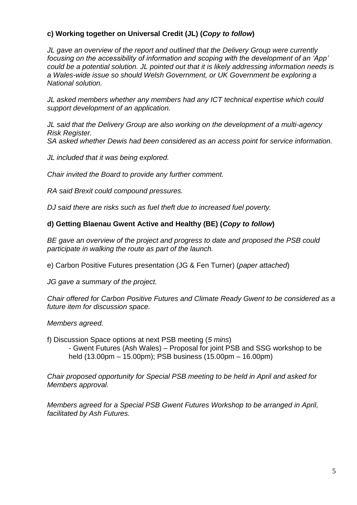# **c) Working together on Universal Credit (JL) (***Copy to follow***)**

*JL gave an overview of the report and outlined that the Delivery Group were currently focusing on the accessibility of information and scoping with the development of an 'App' could be a potential solution. JL pointed out that it is likely addressing information needs is a Wales-wide issue so should Welsh Government, or UK Government be exploring a National solution.*

*JL asked members whether any members had any ICT technical expertise which could support development of an application.*

*JL said that the Delivery Group are also working on the development of a multi-agency Risk Register.*

*SA asked whether Dewis had been considered as an access point for service information.*

*JL included that it was being explored.*

*Chair invited the Board to provide any further comment.*

*RA said Brexit could compound pressures.*

*DJ said there are risks such as fuel theft due to increased fuel poverty.*

### **d) Getting Blaenau Gwent Active and Healthy (BE) (***Copy to follow***)**

*BE gave an overview of the project and progress to date and proposed the PSB could participate in walking the route as part of the launch.*

e) Carbon Positive Futures presentation (JG & Fen Turner) (*paper attached*)

*JG gave a summary of the project.*

*Chair offered for Carbon Positive Futures and Climate Ready Gwent to be considered as a future item for discussion space.*

*Members agreed.*

f) Discussion Space options at next PSB meeting (*5 mins*) - Gwent Futures (Ash Wales) – Proposal for joint PSB and SSG workshop to be held (13.00pm – 15.00pm); PSB business (15.00pm – 16.00pm)

*Chair proposed opportunity for Special PSB meeting to be held in April and asked for Members approval.*

*Members agreed for a Special PSB Gwent Futures Workshop to be arranged in April, facilitated by Ash Futures.*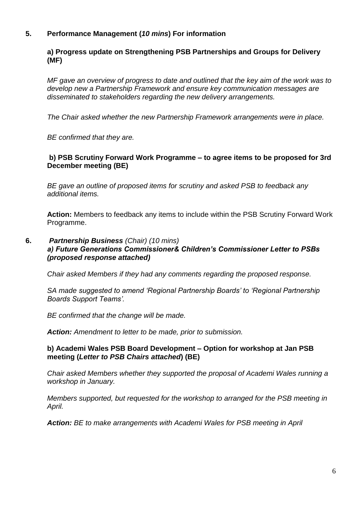# **5. Performance Management (***10 mins***) For information**

# **a) Progress update on Strengthening PSB Partnerships and Groups for Delivery (MF)**

*MF gave an overview of progress to date and outlined that the key aim of the work was to develop new a Partnership Framework and ensure key communication messages are disseminated to stakeholders regarding the new delivery arrangements.*

*The Chair asked whether the new Partnership Framework arrangements were in place.*

*BE confirmed that they are.*

### **b) PSB Scrutiny Forward Work Programme – to agree items to be proposed for 3rd December meeting (BE)**

*BE gave an outline of proposed items for scrutiny and asked PSB to feedback any additional items.*

**Action:** Members to feedback any items to include within the PSB Scrutiny Forward Work Programme.

#### **6.** *Partnership Business (Chair) (10 mins) a) Future Generations Commissioner& Children's Commissioner Letter to PSBs (proposed response attached)*

*Chair asked Members if they had any comments regarding the proposed response.*

*SA made suggested to amend 'Regional Partnership Boards' to 'Regional Partnership Boards Support Teams'.*

*BE confirmed that the change will be made.*

*Action: Amendment to letter to be made, prior to submission.*

#### **b) Academi Wales PSB Board Development – Option for workshop at Jan PSB meeting (***Letter to PSB Chairs attached***) (BE)**

*Chair asked Members whether they supported the proposal of Academi Wales running a workshop in January.*

*Members supported, but requested for the workshop to arranged for the PSB meeting in April.*

*Action: BE to make arrangements with Academi Wales for PSB meeting in April*